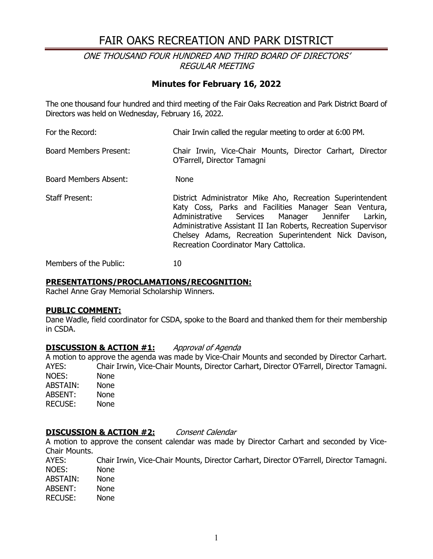# FAIR OAKS RECREATION AND PARK DISTRICT

### ONE THOUSAND FOUR HUNDRED AND THIRD BOARD OF DIRECTORS' REGULAR MEETING

### **Minutes for February 16, 2022**

The one thousand four hundred and third meeting of the Fair Oaks Recreation and Park District Board of Directors was held on Wednesday, February 16, 2022.

For the Record: Chair Irwin called the regular meeting to order at 6:00 PM. Board Members Present: Chair Irwin, Vice-Chair Mounts, Director Carhart, Director O'Farrell, Director Tamagni Board Members Absent: None Staff Present: District Administrator Mike Aho, Recreation Superintendent Katy Coss, Parks and Facilities Manager Sean Ventura, Administrative Services Manager Jennifer Larkin, Administrative Assistant II Ian Roberts, Recreation Supervisor Chelsey Adams, Recreation Superintendent Nick Davison, Recreation Coordinator Mary Cattolica.

Members of the Public: 10

#### **PRESENTATIONS/PROCLAMATIONS/RECOGNITION:**

Rachel Anne Gray Memorial Scholarship Winners.

#### **PUBLIC COMMENT:**

Dane Wadle, field coordinator for CSDA, spoke to the Board and thanked them for their membership in CSDA.

#### **DISCUSSION & ACTION #1:** Approval of Agenda

A motion to approve the agenda was made by Vice-Chair Mounts and seconded by Director Carhart. AYES: Chair Irwin, Vice-Chair Mounts, Director Carhart, Director O'Farrell, Director Tamagni. NOES: None<br>ABSTAIN: None ABSTAIN: ABSENT: None RECUSE: None

#### **DISCUSSION & ACTION #2:** Consent Calendar

A motion to approve the consent calendar was made by Director Carhart and seconded by Vice-Chair Mounts.

AYES: Chair Irwin, Vice-Chair Mounts, Director Carhart, Director O'Farrell, Director Tamagni. NOES: None<br>ABSTAIN: None ABSTAIN: ABSENT: None<br>RECUSE: None **RECUSE:**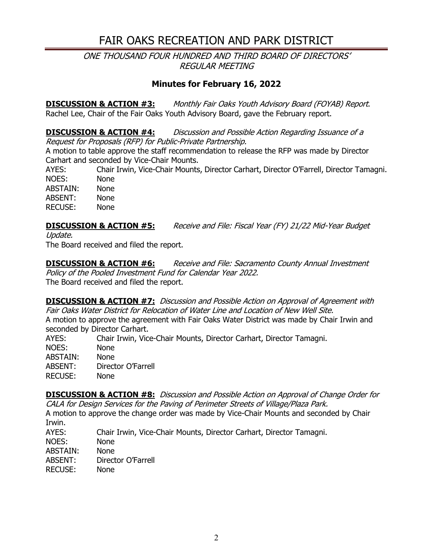# FAIR OAKS RECREATION AND PARK DISTRICT

ONE THOUSAND FOUR HUNDRED AND THIRD BOARD OF DIRECTORS' REGULAR MEETING

## **Minutes for February 16, 2022**

**DISCUSSION & ACTION #3:** Monthly Fair Oaks Youth Advisory Board (FOYAB) Report. Rachel Lee, Chair of the Fair Oaks Youth Advisory Board, gave the February report.

**DISCUSSION & ACTION #4:** Discussion and Possible Action Regarding Issuance of a Request for Proposals (RFP) for Public-Private Partnership.

A motion to table approve the staff recommendation to release the RFP was made by Director Carhart and seconded by Vice-Chair Mounts.

AYES: Chair Irwin, Vice-Chair Mounts, Director Carhart, Director O'Farrell, Director Tamagni. NOES: None

ABSTAIN: None ABSENT: None RECUSE: None

### **DISCUSSION & ACTION #5:** Receive and File: Fiscal Year (FY) 21/22 Mid-Year Budget

Update.

The Board received and filed the report.

**DISCUSSION & ACTION #6:** Receive and File: Sacramento County Annual Investment Policy of the Pooled Investment Fund for Calendar Year 2022. The Board received and filed the report.

**DISCUSSION & ACTION #7:** Discussion and Possible Action on Approval of Agreement with Fair Oaks Water District for Relocation of Water Line and Location of New Well Site.

A motion to approve the agreement with Fair Oaks Water District was made by Chair Irwin and seconded by Director Carhart.<br>AYES: Chair Irwin, Vice

Chair Irwin, Vice-Chair Mounts, Director Carhart, Director Tamagni. NOES: None ABSTAIN: None ABSENT: Director O'Farrell RECUSE: None

**DISCUSSION & ACTION #8:** Discussion and Possible Action on Approval of Change Order for CALA for Design Services for the Paving of Perimeter Streets of Village/Plaza Park.

A motion to approve the change order was made by Vice-Chair Mounts and seconded by Chair Irwin.<br>AYES:

Chair Irwin, Vice-Chair Mounts, Director Carhart, Director Tamagni. NOES: None<br>ABSTAIN: None ABSTAIN: ABSENT: Director O'Farrell RECUSE: None